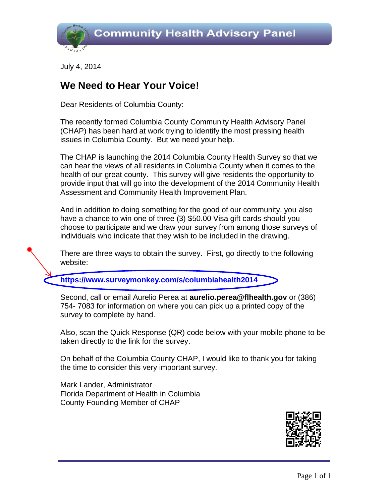

July 4, 2014

#### **We Need to Hear Your Voice!**

Dear Residents of Columbia County:

The recently formed Columbia County Community Health Advisory Panel (CHAP) has been hard at work trying to identify the most pressing health issues in Columbia County. But we need your help.

The CHAP is launching the 2014 Columbia County Health Survey so that we can hear the views of all residents in Columbia County when it comes to the health of our great county. This survey will give residents the opportunity to provide input that will go into the development of the 2014 Community Health Assessment and Community Health Improvement Plan.

And in addition to doing something for the good of our community, you also have a chance to win one of three (3) \$50.00 Visa gift cards should you choose to participate and we draw your survey from among those surveys of individuals who indicate that they wish to be included in the drawing.

There are three ways to obtain the survey. First, go directly to the following website:

**<https://www.surveymonkey.com/s/columbiahealth2014>**

Second, call or email Aurelio Perea at **aurelio.perea@flhealth.gov** or (386) 754- 7083 for information on where you can pick up a printed copy of the survey to complete by hand.

Also, scan the Quick Response (QR) code below with your mobile phone to be taken directly to the link for the survey.

On behalf of the Columbia County CHAP, I would like to thank you for taking the time to consider this very important survey.

Mark Lander, Administrator Florida Department of Health in Columbia County Founding Member of CHAP

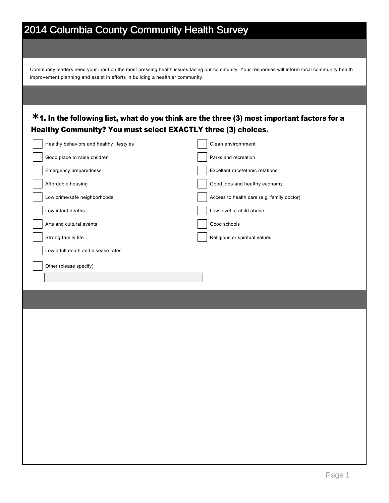Community leaders need your input on the most pressing health issues facing our community. Your responses will inform local community health improvement planning and assist in efforts in building a healthier community.

#### 1. In the following list, what do you think are the three (3) most important factors for a **\*** Healthy Community? You must select EXACTLY three (3) choices.

| Healthy behaviors and healthy lifestyles | Clean environnment                         |
|------------------------------------------|--------------------------------------------|
| Good place to raise children             | Parks and recreation                       |
| Emergency preparedness                   | Excellent race/ethnic relations            |
| Affordable housing                       | Good jobs and healthy economy              |
| Low crime/safe neighborhoods             | Access to health care (e.g. family doctor) |
| Low infant deaths                        | Low level of child abuse                   |
| Arts and cultural events                 | Good schools                               |
| Strong family life                       | Religious or spiritual values              |
| Low adult death and disease rates        |                                            |
| Other (please specify)                   |                                            |
|                                          |                                            |
|                                          |                                            |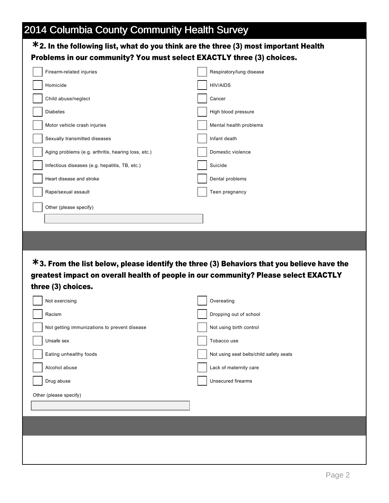#### 2. In the following list, what do you think are the three (3) most important Health **\*** Problems in our community? You must select EXACTLY three (3) choices.

| Firearm-related injuries                            | Respiratory/lung disease                                                                      |
|-----------------------------------------------------|-----------------------------------------------------------------------------------------------|
| Homicide                                            | <b>HIV/AIDS</b>                                                                               |
| Child abuse/neglect                                 | Cancer                                                                                        |
| <b>Diabetes</b>                                     | High blood pressure                                                                           |
| Motor vehicle crash injuries                        | Mental health problems                                                                        |
| Sexually transmitted diseases                       | Infant death                                                                                  |
| Aging problems (e.g. arthritis, hearing loss, etc.) | Domestic violence                                                                             |
| Infectious diseases (e.g. hepatitis, TB, etc.)      | Suicide                                                                                       |
| Heart disease and stroke                            | Dental problems                                                                               |
| Rape/sexual assault                                 | Teen pregnancy                                                                                |
| Other (please specify)                              |                                                                                               |
|                                                     |                                                                                               |
|                                                     |                                                                                               |
|                                                     |                                                                                               |
|                                                     |                                                                                               |
|                                                     |                                                                                               |
|                                                     |                                                                                               |
|                                                     | $*$ 3. From the list below, please identify the three (3) Behaviors that you believe have the |
|                                                     | greatest impact on overall health of people in our community? Please select EXACTLY           |
| three (3) choices.                                  |                                                                                               |
| Not exercising                                      | Overeating                                                                                    |
| Racism                                              | Dropping out of school                                                                        |
| Not getting immunizations to prevent disease        | Not using birth control                                                                       |
| Unsafe sex                                          | Tobacco use                                                                                   |
| Eating unhealthy foods                              | Not using seat belts/child safety seats                                                       |
| Alcohol abuse                                       | Lack of maternity care                                                                        |

Other (please specify)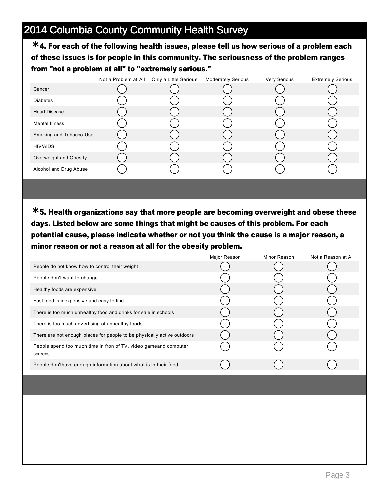4. For each of the following health issues, please tell us how serious of a problem each **\*** of these issues is for people in this community. The seriousness of the problem ranges from "not a problem at all" to "extremely serious."

|                         | Not a Problem at All | Only a Little Serious | <b>Moderately Serious</b> | Very Serious | <b>Extremely Serious</b> |
|-------------------------|----------------------|-----------------------|---------------------------|--------------|--------------------------|
| Cancer                  |                      |                       |                           |              |                          |
| <b>Diabetes</b>         |                      |                       |                           |              |                          |
| <b>Heart Disease</b>    |                      |                       |                           |              |                          |
| <b>Mental Illness</b>   |                      |                       |                           |              |                          |
| Smoking and Tobacco Use |                      |                       |                           |              |                          |
| <b>HIV/AIDS</b>         |                      |                       |                           |              |                          |
| Overweight and Obesity  |                      |                       |                           |              |                          |
| Alcohol and Drug Abuse  |                      |                       |                           |              |                          |

5. Health organizations say that more people are becoming overweight and obese these **\*** days. Listed below are some things that might be causes of this problem. For each potential cause, please indicate whether or not you think the cause is a major reason, a minor reason or not a reason at all for the obesity problem.

|                                                                             | Major Reason | Minor Reason | Not a Reason at All |
|-----------------------------------------------------------------------------|--------------|--------------|---------------------|
| People do not know how to control their weight                              |              |              |                     |
| People don't want to change                                                 |              |              |                     |
| Healthy foods are expensive                                                 |              |              |                     |
| Fast food is inexpensive and easy to find                                   |              |              |                     |
| There is too much unhealthy food and drinks for sale in schools             |              |              |                     |
| There is too much advertising of unhealthy foods                            |              |              |                     |
| There are not enough places for people to be physically active outdoors     |              |              |                     |
| People spend too much time in fron of TV, video gameand computer<br>screens |              |              |                     |
| People don'thave enough information about what is in their food             |              |              |                     |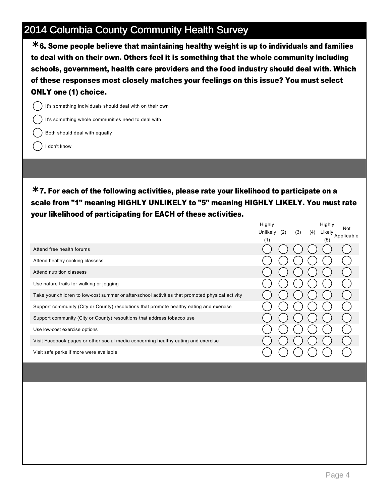6. Some people believe that maintaining healthy weight is up to individuals and families **\*** to deal with on their own. Others feel it is something that the whole community including schools, government, health care providers and the food industry should deal with. Which of these responses most closely matches your feelings on this issue? You must select ONLY one (1) choice.

It's something individuals should deal with on their own

It's something whole communities need to deal with

Both should deal with equally

I don't know

7. For each of the following activities, please rate your likelihood to participate on a **\*** scale from "1" meaning HIGHLY UNLIKELY to "5" meaning HIGHLY LIKELY. You must rate your likelihood of participating for EACH of these activities.

Highly

Highly

|                                                                                                  | Highly<br>Unlikely<br>(2)<br>(1) | (3)<br>(4) | Highly<br>Likely<br>(5) | Not<br>Applicable |
|--------------------------------------------------------------------------------------------------|----------------------------------|------------|-------------------------|-------------------|
| Attend free health forums                                                                        |                                  |            |                         |                   |
| Attend healthy cooking classess                                                                  |                                  |            |                         |                   |
| Attend nutrition classess                                                                        |                                  |            |                         |                   |
| Use nature trails for walking or jogging                                                         |                                  |            |                         |                   |
| Take your children to low-cost summer or after-school activities that promoted physical activity |                                  |            |                         |                   |
| Support community (City or County) resolutions that promote healthy eating and exercise          |                                  |            |                         |                   |
| Support community (City or County) resoultions that address tobacco use                          |                                  |            |                         |                   |
| Use low-cost exercise options                                                                    |                                  |            |                         |                   |
| Visit Facebook pages or other social media concerning healthy eating and exercise                |                                  |            |                         |                   |
| Visit safe parks if more were available                                                          |                                  |            |                         |                   |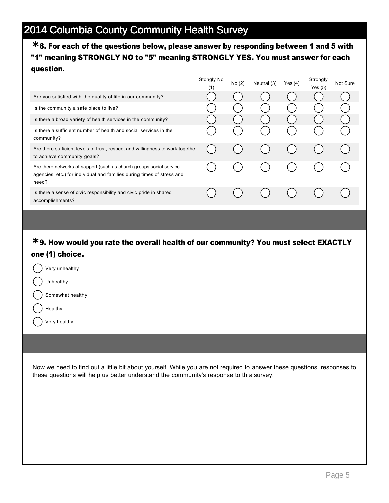#### 8. For each of the questions below, please answer by responding between 1 and 5 with **\*** "1" meaning STRONGLY NO to "5" meaning STRONGLY YES. You must answer for each question.

|                                                                                                                                                         | Stongly No<br>(1) | No (2) | Neutral (3) | Yes(4) | Strongly<br>Yes $(5)$ | Not Sure |
|---------------------------------------------------------------------------------------------------------------------------------------------------------|-------------------|--------|-------------|--------|-----------------------|----------|
| Are you satisfied with the quality of life in our community?                                                                                            |                   |        |             |        |                       |          |
| Is the community a safe place to live?                                                                                                                  |                   |        |             |        |                       |          |
| Is there a broad variety of health services in the community?                                                                                           |                   |        |             |        |                       |          |
| Is there a sufficient number of health and social services in the<br>community?                                                                         |                   |        |             |        |                       |          |
| Are there sufficient levels of trust, respect and willingness to work together<br>to achieve community goals?                                           |                   |        |             |        |                       |          |
| Are there networks of support (such as church groups, social service<br>agencies, etc.) for individual and families during times of stress and<br>need? |                   |        |             |        |                       |          |
| Is there a sense of civic responsibility and civic pride in shared<br>accomplishments?                                                                  |                   |        |             |        |                       |          |

#### 9. How would you rate the overall health of our community? You must select EXACTLY **\*** one (1) choice.

| Very unhealthy   |
|------------------|
| Unhealthy        |
| Somewhat healthy |
| Healthy          |

Very healthy

Now we need to find out a little bit about yourself. While you are not required to answer these questions, responses to these questions will help us better understand the community's response to this survey.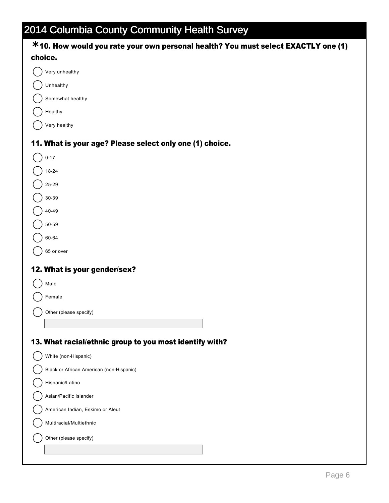| <b>*10. How would you rate your own personal health? You must select EXACTLY one (1)</b> |
|------------------------------------------------------------------------------------------|
| choice.                                                                                  |
| Very unhealthy                                                                           |
| Unhealthy                                                                                |
| Somewhat healthy                                                                         |
| Healthy                                                                                  |
| Very healthy                                                                             |
| 11. What is your age? Please select only one (1) choice.                                 |
| $0 - 17$                                                                                 |
| 18-24                                                                                    |
| 25-29                                                                                    |
| 30-39                                                                                    |
| 40-49                                                                                    |
| 50-59                                                                                    |
| 60-64                                                                                    |
| 65 or over                                                                               |
| 12. What is your gender/sex?                                                             |
| Male                                                                                     |
| Female                                                                                   |
|                                                                                          |
| Other (please specify)                                                                   |
|                                                                                          |
| 13. What racial/ethnic group to you most identify with?                                  |
| White (non-Hispanic)                                                                     |
| Black or African American (non-Hispanic)                                                 |
| Hispanic/Latino                                                                          |
| Asian/Pacific Islander                                                                   |
| American Indian, Eskimo or Aleut                                                         |
| Multiracial/Multiethnic                                                                  |
| Other (please specify)                                                                   |